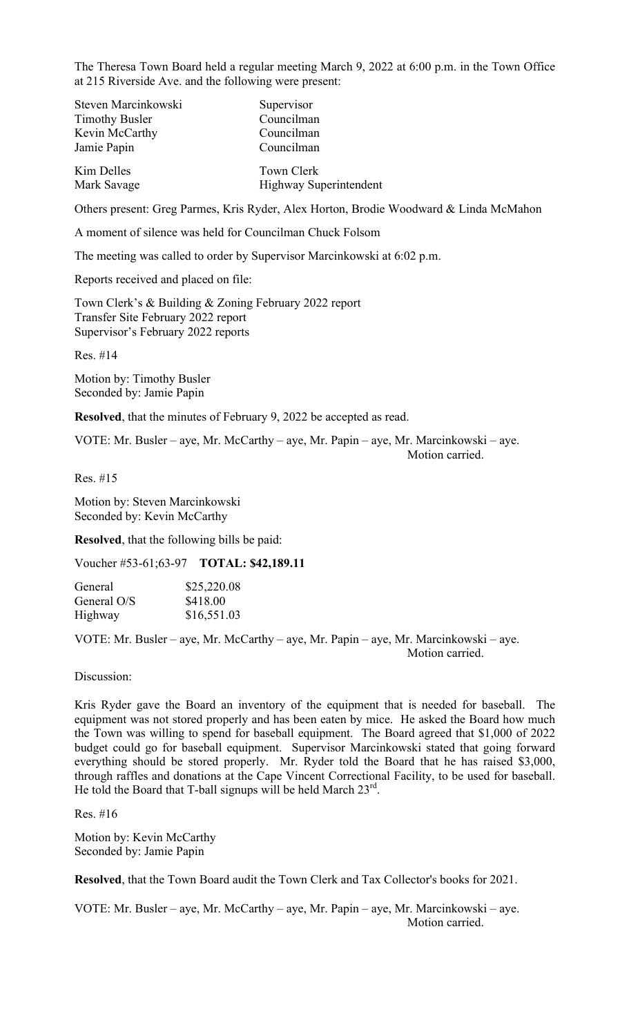The Theresa Town Board held a regular meeting March 9, 2022 at 6:00 p.m. in the Town Office at 215 Riverside Ave. and the following were present:

| Steven Marcinkowski   | Supervisor             |
|-----------------------|------------------------|
| <b>Timothy Busler</b> | Councilman             |
| Kevin McCarthy        | Councilman             |
| Jamie Papin           | Councilman             |
| Kim Delles            | Town Clerk             |
| Mark Savage           | Highway Superintendent |

Others present: Greg Parmes, Kris Ryder, Alex Horton, Brodie Woodward & Linda McMahon

A moment of silence was held for Councilman Chuck Folsom

The meeting was called to order by Supervisor Marcinkowski at 6:02 p.m.

Reports received and placed on file:

Town Clerk's & Building & Zoning February 2022 report Transfer Site February 2022 report Supervisor's February 2022 reports

Res. #14

Motion by: Timothy Busler Seconded by: Jamie Papin

**Resolved**, that the minutes of February 9, 2022 be accepted as read.

VOTE: Mr. Busler – aye, Mr. McCarthy – aye, Mr. Papin – aye, Mr. Marcinkowski – aye. Motion carried.

Res. #15

Motion by: Steven Marcinkowski Seconded by: Kevin McCarthy

**Resolved**, that the following bills be paid:

Voucher #53-61;63-97 **TOTAL: \$42,189.11**

| General     | \$25,220.08 |
|-------------|-------------|
| General O/S | \$418.00    |
| Highway     | \$16,551.03 |

VOTE: Mr. Busler – aye, Mr. McCarthy – aye, Mr. Papin – aye, Mr. Marcinkowski – aye. Motion carried.

Discussion:

Kris Ryder gave the Board an inventory of the equipment that is needed for baseball. The equipment was not stored properly and has been eaten by mice. He asked the Board how much the Town was willing to spend for baseball equipment. The Board agreed that \$1,000 of 2022 budget could go for baseball equipment. Supervisor Marcinkowski stated that going forward everything should be stored properly. Mr. Ryder told the Board that he has raised \$3,000, through raffles and donations at the Cape Vincent Correctional Facility, to be used for baseball. He told the Board that T-ball signups will be held March  $23^{rd}$ .

Res. #16

Motion by: Kevin McCarthy Seconded by: Jamie Papin

**Resolved**, that the Town Board audit the Town Clerk and Tax Collector's books for 2021.

VOTE: Mr. Busler – aye, Mr. McCarthy – aye, Mr. Papin – aye, Mr. Marcinkowski – aye. Motion carried.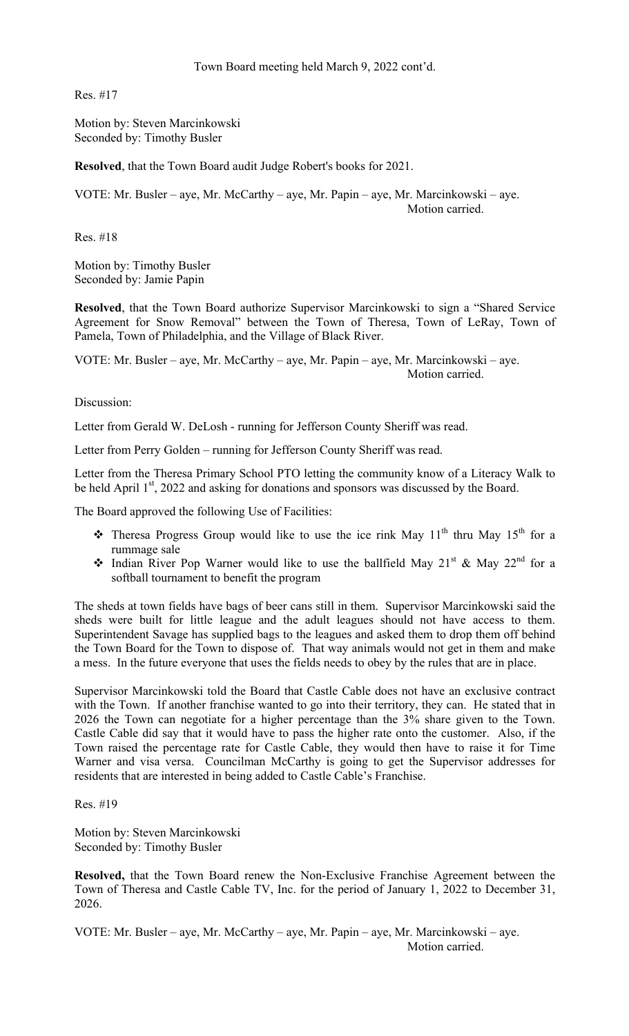Town Board meeting held March 9, 2022 cont'd.

Res. #17

Motion by: Steven Marcinkowski Seconded by: Timothy Busler

**Resolved**, that the Town Board audit Judge Robert's books for 2021.

VOTE: Mr. Busler – aye, Mr. McCarthy – aye, Mr. Papin – aye, Mr. Marcinkowski – aye. Motion carried.

Res. #18

Motion by: Timothy Busler Seconded by: Jamie Papin

**Resolved**, that the Town Board authorize Supervisor Marcinkowski to sign a "Shared Service Agreement for Snow Removal" between the Town of Theresa, Town of LeRay, Town of Pamela, Town of Philadelphia, and the Village of Black River.

VOTE: Mr. Busler – aye, Mr. McCarthy – aye, Mr. Papin – aye, Mr. Marcinkowski – aye. Motion carried.

Discussion:

Letter from Gerald W. DeLosh - running for Jefferson County Sheriff was read.

Letter from Perry Golden – running for Jefferson County Sheriff was read.

Letter from the Theresa Primary School PTO letting the community know of a Literacy Walk to be held April 1<sup>st</sup>, 2022 and asking for donations and sponsors was discussed by the Board.

The Board approved the following Use of Facilities:

- Theresa Progress Group would like to use the ice rink May  $11<sup>th</sup>$  thru May  $15<sup>th</sup>$  for a rummage sale
- Indian River Pop Warner would like to use the ballfield May 21<sup>st</sup> & May 22<sup>nd</sup> for a softball tournament to benefit the program

The sheds at town fields have bags of beer cans still in them. Supervisor Marcinkowski said the sheds were built for little league and the adult leagues should not have access to them. Superintendent Savage has supplied bags to the leagues and asked them to drop them off behind the Town Board for the Town to dispose of. That way animals would not get in them and make a mess. In the future everyone that uses the fields needs to obey by the rules that are in place.

Supervisor Marcinkowski told the Board that Castle Cable does not have an exclusive contract with the Town. If another franchise wanted to go into their territory, they can. He stated that in 2026 the Town can negotiate for a higher percentage than the 3% share given to the Town. Castle Cable did say that it would have to pass the higher rate onto the customer. Also, if the Town raised the percentage rate for Castle Cable, they would then have to raise it for Time Warner and visa versa. Councilman McCarthy is going to get the Supervisor addresses for residents that are interested in being added to Castle Cable's Franchise.

Res. #19

Motion by: Steven Marcinkowski Seconded by: Timothy Busler

**Resolved,** that the Town Board renew the Non-Exclusive Franchise Agreement between the Town of Theresa and Castle Cable TV, Inc. for the period of January 1, 2022 to December 31, 2026.

VOTE: Mr. Busler – aye, Mr. McCarthy – aye, Mr. Papin – aye, Mr. Marcinkowski – aye. Motion carried.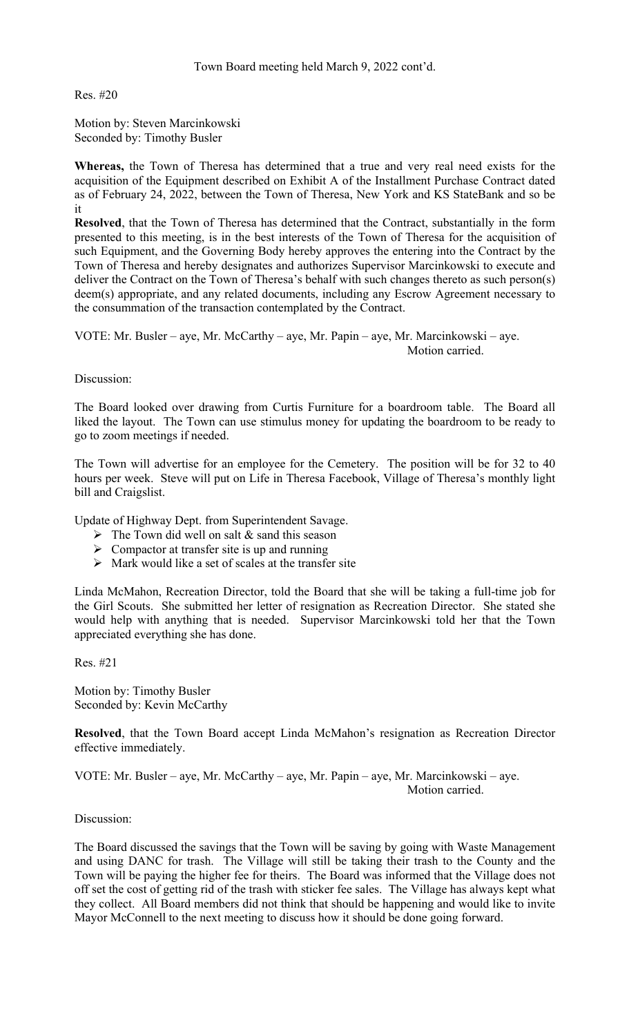Town Board meeting held March 9, 2022 cont'd.

Res. #20

Motion by: Steven Marcinkowski Seconded by: Timothy Busler

**Whereas,** the Town of Theresa has determined that a true and very real need exists for the acquisition of the Equipment described on Exhibit A of the Installment Purchase Contract dated as of February 24, 2022, between the Town of Theresa, New York and KS StateBank and so be it

**Resolved**, that the Town of Theresa has determined that the Contract, substantially in the form presented to this meeting, is in the best interests of the Town of Theresa for the acquisition of such Equipment, and the Governing Body hereby approves the entering into the Contract by the Town of Theresa and hereby designates and authorizes Supervisor Marcinkowski to execute and deliver the Contract on the Town of Theresa's behalf with such changes thereto as such person(s) deem(s) appropriate, and any related documents, including any Escrow Agreement necessary to the consummation of the transaction contemplated by the Contract.

VOTE: Mr. Busler – aye, Mr. McCarthy – aye, Mr. Papin – aye, Mr. Marcinkowski – aye. Motion carried.

Discussion:

The Board looked over drawing from Curtis Furniture for a boardroom table. The Board all liked the layout. The Town can use stimulus money for updating the boardroom to be ready to go to zoom meetings if needed.

The Town will advertise for an employee for the Cemetery. The position will be for 32 to 40 hours per week. Steve will put on Life in Theresa Facebook, Village of Theresa's monthly light bill and Craigslist.

Update of Highway Dept. from Superintendent Savage.

- $\triangleright$  The Town did well on salt & sand this season
- $\triangleright$  Compactor at transfer site is up and running
- $\triangleright$  Mark would like a set of scales at the transfer site

Linda McMahon, Recreation Director, told the Board that she will be taking a full-time job for the Girl Scouts. She submitted her letter of resignation as Recreation Director. She stated she would help with anything that is needed. Supervisor Marcinkowski told her that the Town appreciated everything she has done.

Res. #21

Motion by: Timothy Busler Seconded by: Kevin McCarthy

**Resolved**, that the Town Board accept Linda McMahon's resignation as Recreation Director effective immediately.

VOTE: Mr. Busler – aye, Mr. McCarthy – aye, Mr. Papin – aye, Mr. Marcinkowski – aye. Motion carried.

Discussion:

The Board discussed the savings that the Town will be saving by going with Waste Management and using DANC for trash. The Village will still be taking their trash to the County and the Town will be paying the higher fee for theirs. The Board was informed that the Village does not off set the cost of getting rid of the trash with sticker fee sales. The Village has always kept what they collect. All Board members did not think that should be happening and would like to invite Mayor McConnell to the next meeting to discuss how it should be done going forward.